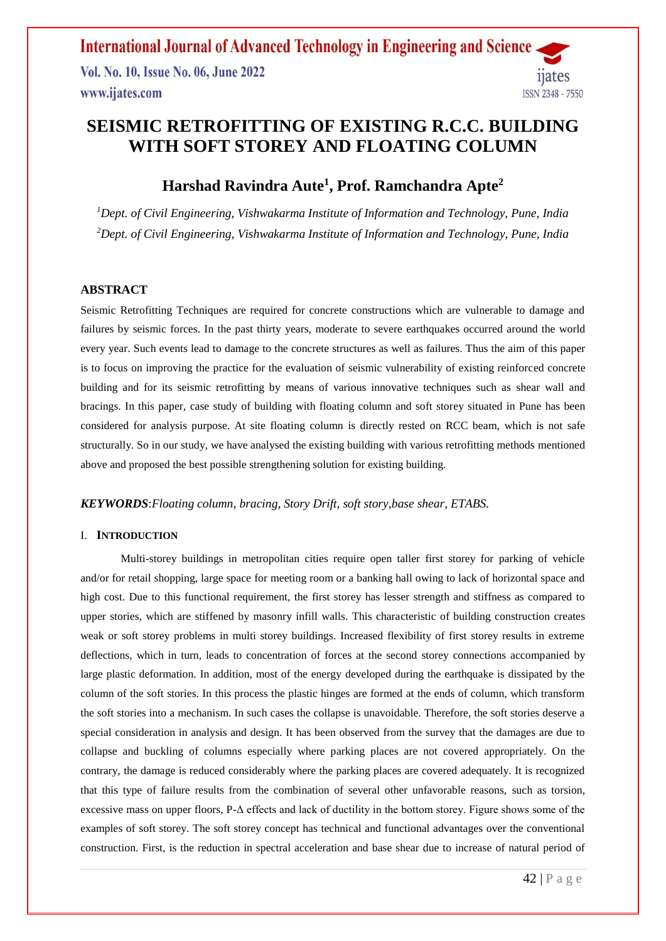**International Journal of Advanced Technology in Engineering and Science** Vol. No. 10, Issue No. 06, June 2022 ijates www.ijates.com **ISSN 2348 - 7550** 

## **SEISMIC RETROFITTING OF EXISTING R.C.C. BUILDING WITH SOFT STOREY AND FLOATING COLUMN**

## **Harshad Ravindra Aute<sup>1</sup> , Prof. Ramchandra Apte<sup>2</sup>**

*<sup>1</sup>Dept. of Civil Engineering, Vishwakarma Institute of Information and Technology, Pune, India <sup>2</sup>Dept. of Civil Engineering, Vishwakarma Institute of Information and Technology, Pune, India*

#### **ABSTRACT**

Seismic Retrofitting Techniques are required for concrete constructions which are vulnerable to damage and failures by seismic forces. In the past thirty years, moderate to severe earthquakes occurred around the world every year. Such events lead to damage to the concrete structures as well as failures. Thus the aim of this paper is to focus on improving the practice for the evaluation of seismic vulnerability of existing reinforced concrete building and for its seismic retrofitting by means of various innovative techniques such as shear wall and bracings. In this paper, case study of building with floating column and soft storey situated in Pune has been considered for analysis purpose. At site floating column is directly rested on RCC beam, which is not safe structurally. So in our study, we have analysed the existing building with various retrofitting methods mentioned above and proposed the best possible strengthening solution for existing building.

#### *KEYWORDS*:*Floating column, bracing, Story Drift, soft story,base shear, ETABS.*

#### I. **INTRODUCTION**

Multi-storey buildings in metropolitan cities require open taller first storey for parking of vehicle and/or for retail shopping, large space for meeting room or a banking hall owing to lack of horizontal space and high cost. Due to this functional requirement, the first storey has lesser strength and stiffness as compared to upper stories, which are stiffened by masonry infill walls. This characteristic of building construction creates weak or soft storey problems in multi storey buildings. Increased flexibility of first storey results in extreme deflections, which in turn, leads to concentration of forces at the second storey connections accompanied by large plastic deformation. In addition, most of the energy developed during the earthquake is dissipated by the column of the soft stories. In this process the plastic hinges are formed at the ends of column, which transform the soft stories into a mechanism. In such cases the collapse is unavoidable. Therefore, the soft stories deserve a special consideration in analysis and design. It has been observed from the survey that the damages are due to collapse and buckling of columns especially where parking places are not covered appropriately. On the contrary, the damage is reduced considerably where the parking places are covered adequately. It is recognized that this type of failure results from the combination of several other unfavorable reasons, such as torsion, excessive mass on upper floors, P-Δ effects and lack of ductility in the bottom storey. Figure shows some of the examples of soft storey. The soft storey concept has technical and functional advantages over the conventional construction. First, is the reduction in spectral acceleration and base shear due to increase of natural period of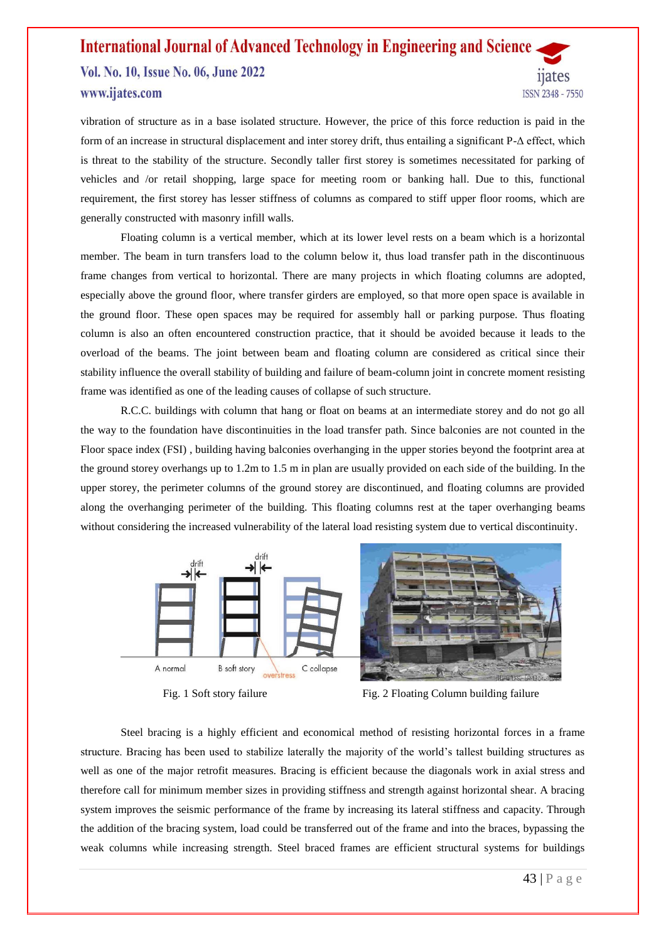#### **International Journal of Advanced Technology in Engineering and Science** Vol. No. 10, Issue No. 06, June 2022 11ates www.ijates.com **ISSN 2348 - 7550**

vibration of structure as in a base isolated structure. However, the price of this force reduction is paid in the form of an increase in structural displacement and inter storey drift, thus entailing a significant P-Δ effect, which is threat to the stability of the structure. Secondly taller first storey is sometimes necessitated for parking of vehicles and /or retail shopping, large space for meeting room or banking hall. Due to this, functional requirement, the first storey has lesser stiffness of columns as compared to stiff upper floor rooms, which are generally constructed with masonry infill walls.

Floating column is a vertical member, which at its lower level rests on a beam which is a horizontal member. The beam in turn transfers load to the column below it, thus load transfer path in the discontinuous frame changes from vertical to horizontal. There are many projects in which floating columns are adopted, especially above the ground floor, where transfer girders are employed, so that more open space is available in the ground floor. These open spaces may be required for assembly hall or parking purpose. Thus floating column is also an often encountered construction practice, that it should be avoided because it leads to the overload of the beams. The joint between beam and floating column are considered as critical since their stability influence the overall stability of building and failure of beam-column joint in concrete moment resisting frame was identified as one of the leading causes of collapse of such structure.

R.C.C. buildings with column that hang or float on beams at an intermediate storey and do not go all the way to the foundation have discontinuities in the load transfer path. Since balconies are not counted in the Floor space index (FSI) , building having balconies overhanging in the upper stories beyond the footprint area at the ground storey overhangs up to 1.2m to 1.5 m in plan are usually provided on each side of the building. In the upper storey, the perimeter columns of the ground storey are discontinued, and floating columns are provided along the overhanging perimeter of the building. This floating columns rest at the taper overhanging beams without considering the increased vulnerability of the lateral load resisting system due to vertical discontinuity.





Fig. 1 Soft story failure Fig. 2 Floating Column building failure

Steel bracing is a highly efficient and economical method of resisting horizontal forces in a frame structure. Bracing has been used to stabilize laterally the majority of the world's tallest building structures as well as one of the major retrofit measures. Bracing is efficient because the diagonals work in axial stress and therefore call for minimum member sizes in providing stiffness and strength against horizontal shear. A bracing system improves the seismic performance of the frame by increasing its lateral stiffness and capacity. Through the addition of the bracing system, load could be transferred out of the frame and into the braces, bypassing the weak columns while increasing strength. Steel braced frames are efficient structural systems for buildings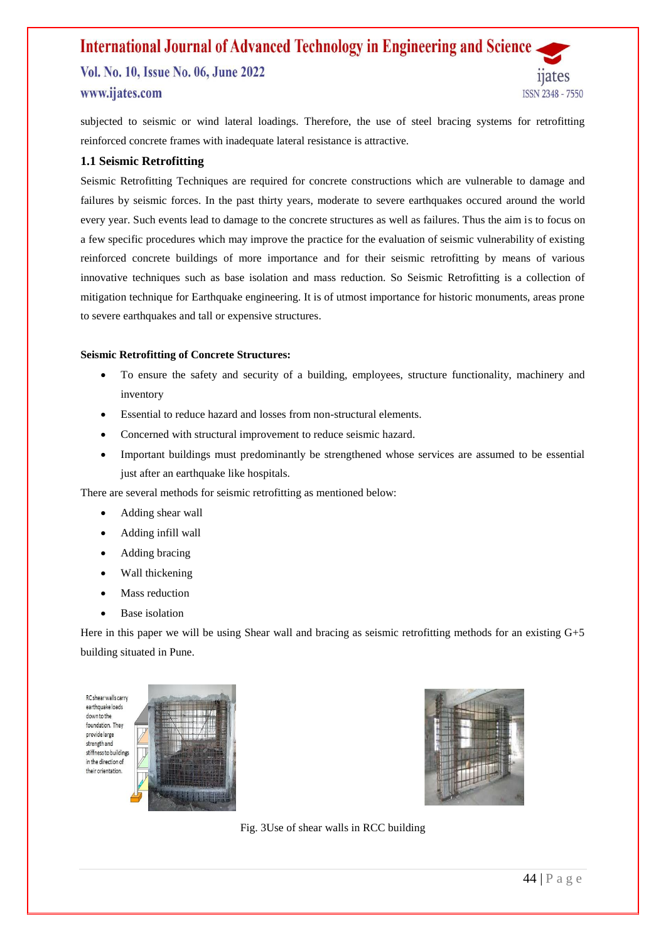### **International Journal of Advanced Technology in Engineering and Science** Vol. No. 10, Issue No. 06, June 2022 www.ijates.com **ISSN 2348 - 7550**

subjected to seismic or wind lateral loadings. Therefore, the use of steel bracing systems for retrofitting reinforced concrete frames with inadequate lateral resistance is attractive.

#### **1.1 Seismic Retrofitting**

Seismic Retrofitting Techniques are required for concrete constructions which are vulnerable to damage and failures by seismic forces. In the past thirty years, moderate to severe earthquakes occured around the world every year. Such events lead to damage to the concrete structures as well as failures. Thus the aim is to focus on a few specific procedures which may improve the practice for the evaluation of seismic vulnerability of existing reinforced concrete buildings of more importance and for their seismic retrofitting by means of various innovative techniques such as base isolation and mass reduction. So Seismic Retrofitting is a collection of mitigation technique for Earthquake engineering. It is of utmost importance for historic monuments, areas prone to severe earthquakes and tall or expensive structures.

#### **Seismic Retrofitting of Concrete Structures:**

- To ensure the safety and security of a building, employees, structure functionality, machinery and inventory
- Essential to reduce hazard and losses from non-structural elements.
- Concerned with structural improvement to reduce seismic hazard.
- Important buildings must predominantly be strengthened whose services are assumed to be essential just after an earthquake like hospitals.

There are several methods for seismic retrofitting as mentioned below:

- Adding shear wall
- Adding infill wall
- Adding bracing
- Wall thickening
- Mass reduction
- Base isolation

Here in this paper we will be using Shear wall and bracing as seismic retrofitting methods for an existing G+5 building situated in Pune.

RC shear walls carry earthquake loads down to the foundation. They provide large strength and stiffness to building in the direction of their orientation





Fig. 3Use of shear walls in RCC building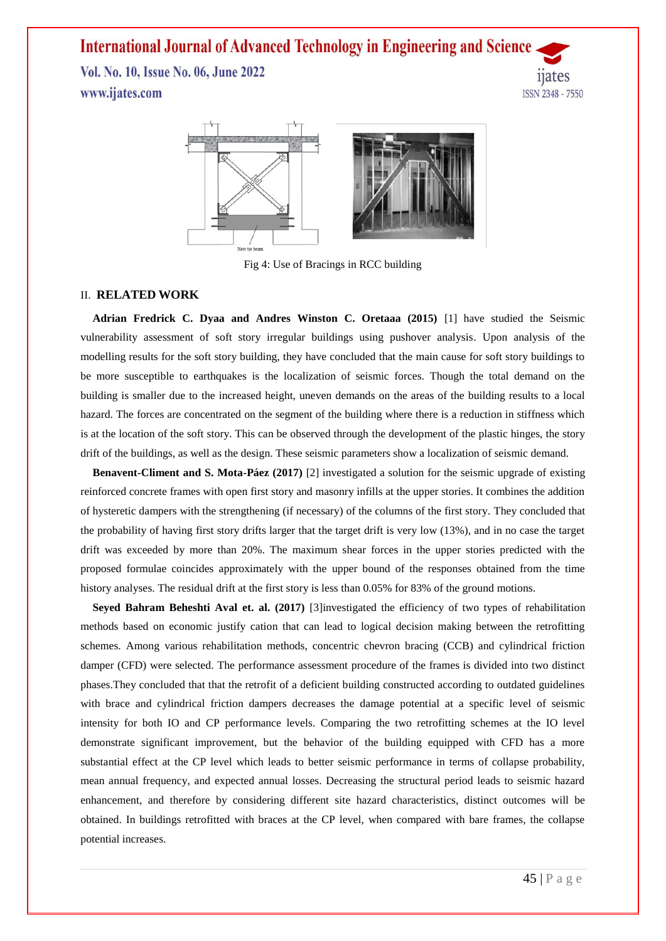Vol. No. 10, Issue No. 06, June 2022 www.ijates.com





Fig 4: Use of Bracings in RCC building

#### II. **RELATED WORK**

**Adrian Fredrick C. Dyaa and Andres Winston C. Oretaaa (2015)** [1] have studied the Seismic vulnerability assessment of soft story irregular buildings using pushover analysis. Upon analysis of the modelling results for the soft story building, they have concluded that the main cause for soft story buildings to be more susceptible to earthquakes is the localization of seismic forces. Though the total demand on the building is smaller due to the increased height, uneven demands on the areas of the building results to a local hazard. The forces are concentrated on the segment of the building where there is a reduction in stiffness which is at the location of the soft story. This can be observed through the development of the plastic hinges, the story drift of the buildings, as well as the design. These seismic parameters show a localization of seismic demand.

**Benavent-Climent and S. Mota-Páez (2017)** [2] investigated a solution for the seismic upgrade of existing reinforced concrete frames with open first story and masonry infills at the upper stories. It combines the addition of hysteretic dampers with the strengthening (if necessary) of the columns of the first story. They concluded that the probability of having first story drifts larger that the target drift is very low (13%), and in no case the target drift was exceeded by more than 20%. The maximum shear forces in the upper stories predicted with the proposed formulae coincides approximately with the upper bound of the responses obtained from the time history analyses. The residual drift at the first story is less than 0.05% for 83% of the ground motions.

**Seyed Bahram Beheshti Aval et. al. (2017)** [3]investigated the efficiency of two types of rehabilitation methods based on economic justify cation that can lead to logical decision making between the retrofitting schemes. Among various rehabilitation methods, concentric chevron bracing (CCB) and cylindrical friction damper (CFD) were selected. The performance assessment procedure of the frames is divided into two distinct phases.They concluded that that the retrofit of a deficient building constructed according to outdated guidelines with brace and cylindrical friction dampers decreases the damage potential at a specific level of seismic intensity for both IO and CP performance levels. Comparing the two retrofitting schemes at the IO level demonstrate significant improvement, but the behavior of the building equipped with CFD has a more substantial effect at the CP level which leads to better seismic performance in terms of collapse probability, mean annual frequency, and expected annual losses. Decreasing the structural period leads to seismic hazard enhancement, and therefore by considering different site hazard characteristics, distinct outcomes will be obtained. In buildings retrofitted with braces at the CP level, when compared with bare frames, the collapse potential increases.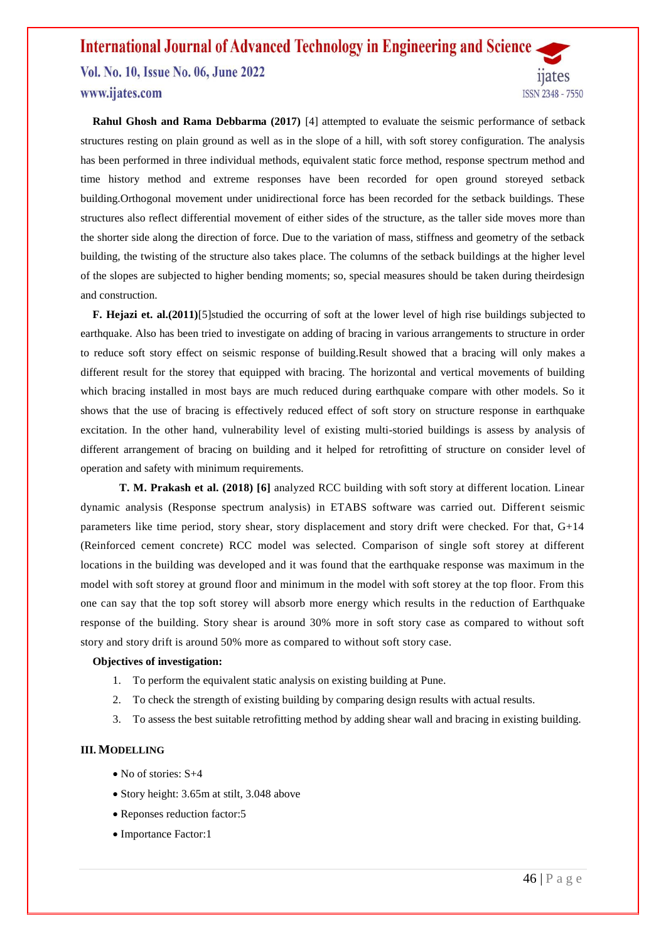#### **International Journal of Advanced Technology in Engineering and Science** Vol. No. 10, Issue No. 06, June 2022 *nates* www.ijates.com ISSN 2348 - 7550

**Rahul Ghosh and Rama Debbarma (2017)** [4] attempted to evaluate the seismic performance of setback structures resting on plain ground as well as in the slope of a hill, with soft storey configuration. The analysis has been performed in three individual methods, equivalent static force method, response spectrum method and time history method and extreme responses have been recorded for open ground storeyed setback building.Orthogonal movement under unidirectional force has been recorded for the setback buildings. These structures also reflect differential movement of either sides of the structure, as the taller side moves more than the shorter side along the direction of force. Due to the variation of mass, stiffness and geometry of the setback building, the twisting of the structure also takes place. The columns of the setback buildings at the higher level of the slopes are subjected to higher bending moments; so, special measures should be taken during theirdesign and construction.

**F. Hejazi et. al.(2011)**[5]studied the occurring of soft at the lower level of high rise buildings subjected to earthquake. Also has been tried to investigate on adding of bracing in various arrangements to structure in order to reduce soft story effect on seismic response of building.Result showed that a bracing will only makes a different result for the storey that equipped with bracing. The horizontal and vertical movements of building which bracing installed in most bays are much reduced during earthquake compare with other models. So it shows that the use of bracing is effectively reduced effect of soft story on structure response in earthquake excitation. In the other hand, vulnerability level of existing multi-storied buildings is assess by analysis of different arrangement of bracing on building and it helped for retrofitting of structure on consider level of operation and safety with minimum requirements.

 **T. M. Prakash et al. (2018) [6]** analyzed RCC building with soft story at different location. Linear dynamic analysis (Response spectrum analysis) in ETABS software was carried out. Different seismic parameters like time period, story shear, story displacement and story drift were checked. For that, G+14 (Reinforced cement concrete) RCC model was selected. Comparison of single soft storey at different locations in the building was developed and it was found that the earthquake response was maximum in the model with soft storey at ground floor and minimum in the model with soft storey at the top floor. From this one can say that the top soft storey will absorb more energy which results in the reduction of Earthquake response of the building. Story shear is around 30% more in soft story case as compared to without soft story and story drift is around 50% more as compared to without soft story case.

#### **Objectives of investigation:**

- 1. To perform the equivalent static analysis on existing building at Pune.
- 2. To check the strength of existing building by comparing design results with actual results.
- 3. To assess the best suitable retrofitting method by adding shear wall and bracing in existing building.

#### **III. MODELLING**

- No of stories: S+4
- Story height: 3.65m at stilt, 3.048 above
- Reponses reduction factor:5
- Importance Factor:1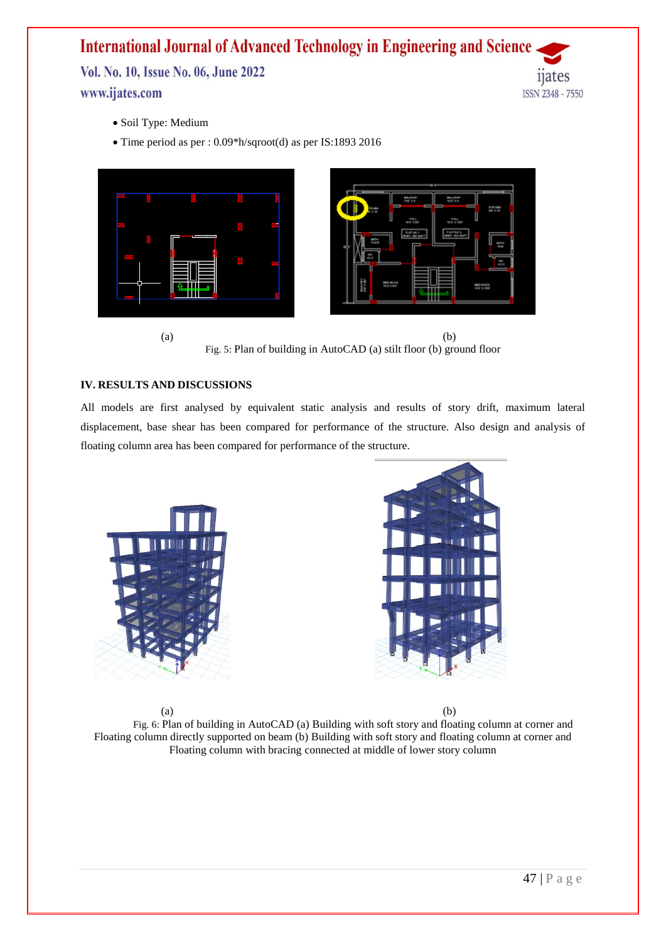Vol. No. 10, Issue No. 06, June 2022 www.ijates.com

11ates **ISSN 2348 - 7550** 

- Soil Type: Medium
- Time period as per : 0.09\*h/sqroot(d) as per IS:1893 2016





#### **IV. RESULTS AND DISCUSSIONS**

All models are first analysed by equivalent static analysis and results of story drift, maximum lateral displacement, base shear has been compared for performance of the structure. Also design and analysis of floating column area has been compared for performance of the structure.





 $(a)$  (b) Fig. 6: Plan of building in AutoCAD (a) Building with soft story and floating column at corner and Floating column directly supported on beam (b) Building with soft story and floating column at corner and Floating column with bracing connected at middle of lower story column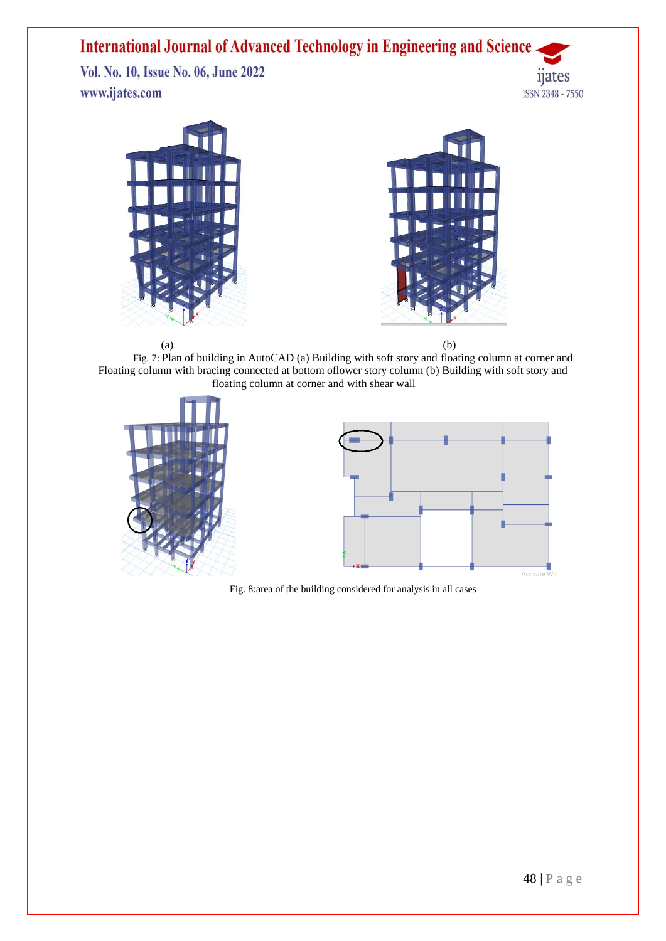Vol. No. 10, Issue No. 06, June 2022 www.ijates.com







 $(a)$  (b) Fig. 7: Plan of building in AutoCAD (a) Building with soft story and floating column at corner and Floating column with bracing connected at bottom oflower story column (b) Building with soft story and floating column at corner and with shear wall





Fig. 8:area of the building considered for analysis in all cases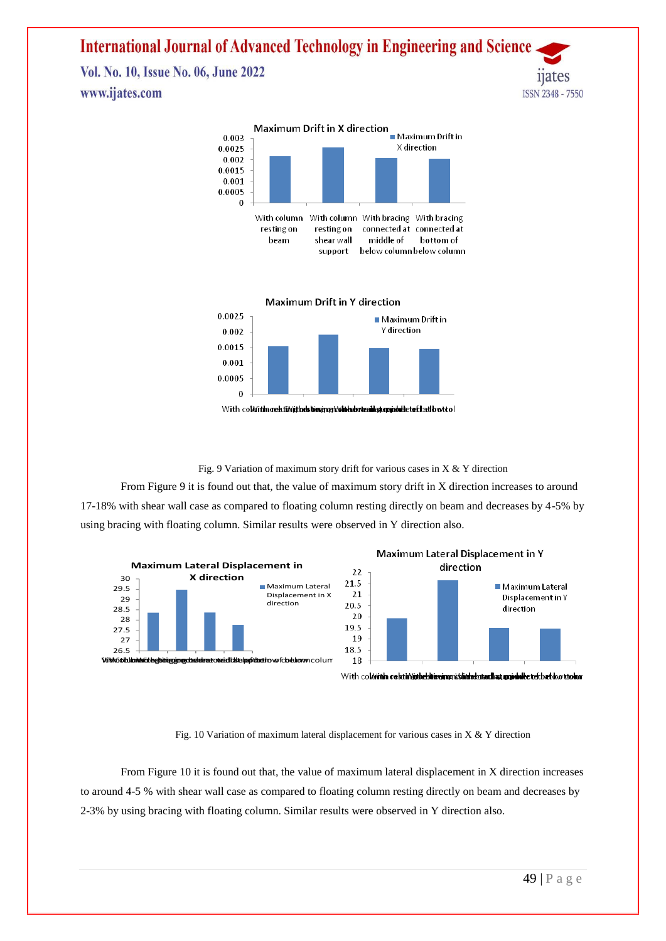Vol. No. 10, Issue No. 06, June 2022 www.ijates.com





**Maximum Drift in Y direction** 



With coll/ithn relatin/ithelshiesings/vihlesbutesillest.gopidal: teef lead by tool

Fig. 9 Variation of maximum story drift for various cases in  $X & Y$  direction

From Figure 9 it is found out that, the value of maximum story drift in X direction increases to around 17-18% with shear wall case as compared to floating column resting directly on beam and decreases by 4-5% by using bracing with floating column. Similar results were observed in Y direction also.





With column celstiniides the simplicit state and at appealed telephone when

Fig. 10 Variation of maximum lateral displacement for various cases in X & Y direction

From Figure 10 it is found out that, the value of maximum lateral displacement in X direction increases to around 4-5 % with shear wall case as compared to floating column resting directly on beam and decreases by 2-3% by using bracing with floating column. Similar results were observed in Y direction also.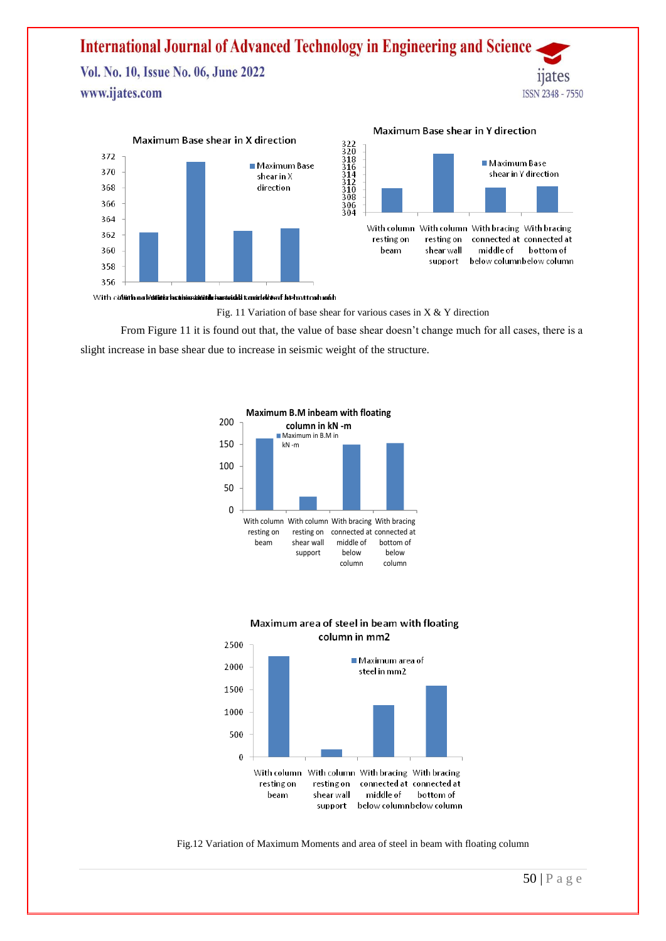Vol. No. 10, Issue No. 06, June 2022 www.ijates.com



#### Maximum Base shear in Y direction

11ates

**ISSN 2348 - 7550** 



With collith no ballished brahimanished barteidd sonirleld enf behautoch mith

Fig. 11 Variation of base shear for various cases in  $X & Y$  direction

From Figure 11 it is found out that, the value of base shear doesn't change much for all cases, there is a slight increase in base shear due to increase in seismic weight of the structure.







Fig.12 Variation of Maximum Moments and area of steel in beam with floating column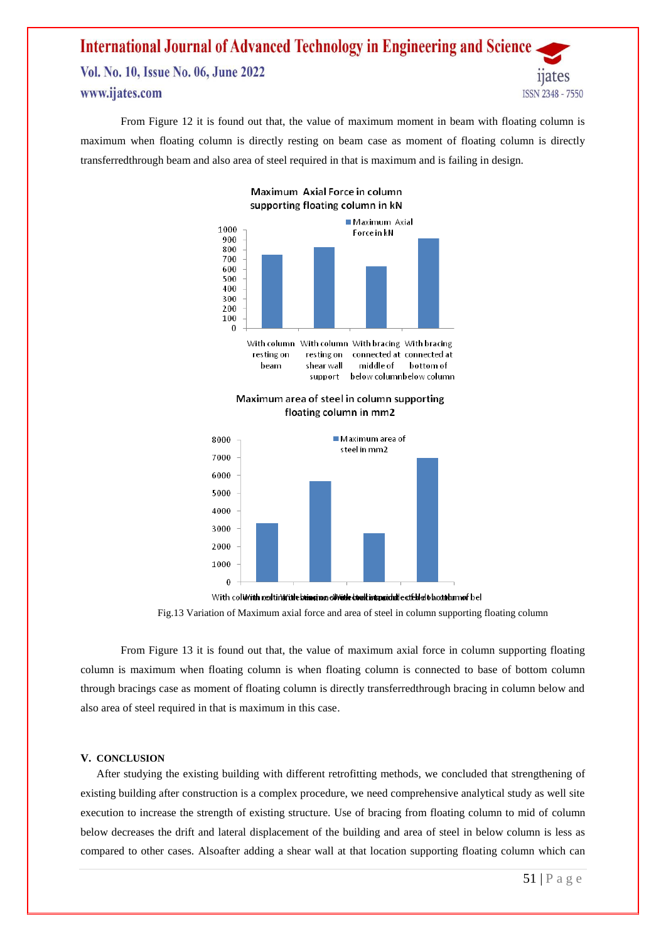## **International Journal of Advanced Technology in Engineering and Science** Vol. No. 10, Issue No. 06, June 2022 www.ijates.com **ISSN 2348 - 7550**

From Figure 12 it is found out that, the value of maximum moment in beam with floating column is maximum when floating column is directly resting on beam case as moment of floating column is directly transferredthrough beam and also area of steel required in that is maximum and is failing in design.



Maximum Axial Force in column supporting floating column in kN

#### Maximum area of steel in column supporting floating column in mm2

middle of

below columnbelow column

bottom of

shear wall

support

beam



With coluvith reedting inte beinging of with the dual integridate at Ebleit blootstam of bel

Fig.13 Variation of Maximum axial force and area of steel in column supporting floating column

From Figure 13 it is found out that, the value of maximum axial force in column supporting floating column is maximum when floating column is when floating column is connected to base of bottom column through bracings case as moment of floating column is directly transferredthrough bracing in column below and also area of steel required in that is maximum in this case.

#### **V. CONCLUSION**

After studying the existing building with different retrofitting methods, we concluded that strengthening of existing building after construction is a complex procedure, we need comprehensive analytical study as well site execution to increase the strength of existing structure. Use of bracing from floating column to mid of column below decreases the drift and lateral displacement of the building and area of steel in below column is less as compared to other cases. Alsoafter adding a shear wall at that location supporting floating column which can